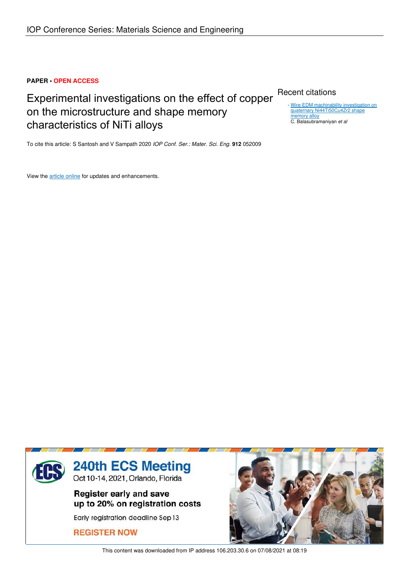# **PAPER • OPEN ACCESS**

# Experimental investigations on the effect of copper on the microstructure and shape memory characteristics of NiTi alloys

To cite this article: S Santosh and V Sampath 2020 *IOP Conf. Ser.: Mater. Sci. Eng.* **912** 052009

View the article online for updates and enhancements.

# Recent citations

Wire-EDM machinability investigation on quaternary Ni44Ti50Cu4Zr2 shape memory alloy C. Balasubramaniyan *et al* -



This content was downloaded from IP address 106.203.30.6 on 07/08/2021 at 08:19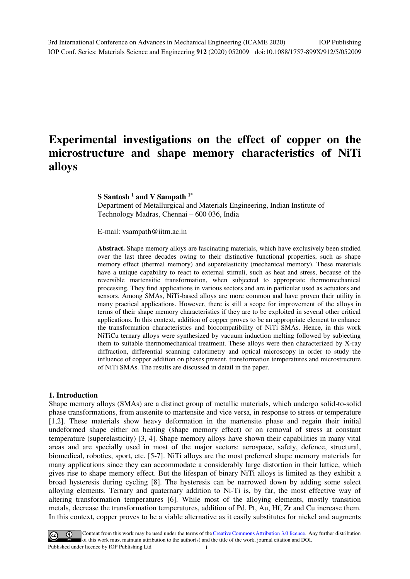# **Experimental investigations on the effect of copper on the microstructure and shape memory characteristics of NiTi alloys**

**S Santosh <sup>1</sup> and V Sampath 1\***

Department of Metallurgical and Materials Engineering, Indian Institute of Technology Madras, Chennai – 600 036, India

E-mail: vsampath@iitm.ac.in

**Abstract.** Shape memory alloys are fascinating materials, which have exclusively been studied over the last three decades owing to their distinctive functional properties, such as shape memory effect (thermal memory) and superelasticity (mechanical memory). These materials have a unique capability to react to external stimuli, such as heat and stress, because of the reversible martensitic transformation, when subjected to appropriate thermomechanical processing. They find applications in various sectors and are in particular used as actuators and sensors. Among SMAs, NiTi-based alloys are more common and have proven their utility in many practical applications. However, there is still a scope for improvement of the alloys in terms of their shape memory characteristics if they are to be exploited in several other critical applications. In this context, addition of copper proves to be an appropriate element to enhance the transformation characteristics and biocompatibility of NiTi SMAs. Hence, in this work NiTiCu ternary alloys were synthesized by vacuum induction melting followed by subjecting them to suitable thermomechanical treatment. These alloys were then characterized by X-ray diffraction, differential scanning calorimetry and optical microscopy in order to study the influence of copper addition on phases present, transformation temperatures and microstructure of NiTi SMAs. The results are discussed in detail in the paper.

## **1. Introduction**

Shape memory alloys (SMAs) are a distinct group of metallic materials, which undergo solid-to-solid phase transformations, from austenite to martensite and vice versa, in response to stress or temperature [1,2]. These materials show heavy deformation in the martensite phase and regain their initial undeformed shape either on heating (shape memory effect) or on removal of stress at constant temperature (superelasticity) [3, 4]. Shape memory alloys have shown their capabilities in many vital areas and are specially used in most of the major sectors: aerospace, safety, defence, structural, biomedical, robotics, sport, etc. [5-7]. NiTi alloys are the most preferred shape memory materials for many applications since they can accommodate a considerably large distortion in their lattice, which gives rise to shape memory effect. But the lifespan of binary NiTi alloys is limited as they exhibit a broad hysteresis during cycling [8]. The hysteresis can be narrowed down by adding some select alloying elements. Ternary and quaternary addition to Ni-Ti is, by far, the most effective way of altering transformation temperatures [6]. While most of the alloying elements, mostly transition metals, decrease the transformation temperatures, addition of Pd, Pt, Au, Hf, Zr and Cu increase them. In this context, copper proves to be a viable alternative as it easily substitutes for nickel and augments

Content from this work may be used under the terms of the Creative Commons Attribution 3.0 licence. Any further distribution of this work must meet the terms of the Creative Commons Attribution 3.0 licence. Any further dis of this work must maintain attribution to the author(s) and the title of the work, journal citation and DOI. Published under licence by IOP Publishing Ltd 1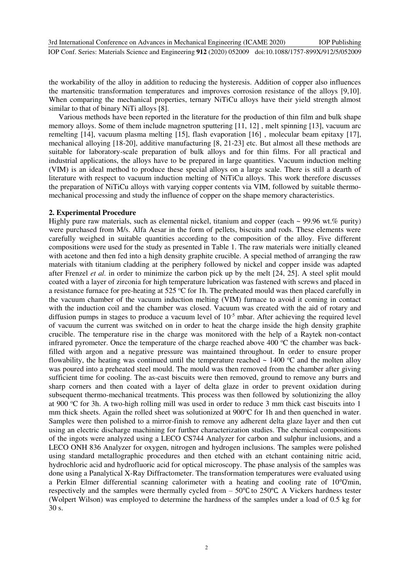the workability of the alloy in addition to reducing the hysteresis. Addition of copper also influences the martensitic transformation temperatures and improves corrosion resistance of the alloys [9,10]. When comparing the mechanical properties, ternary NiTiCu alloys have their yield strength almost similar to that of binary NiTi alloys [8].

Various methods have been reported in the literature for the production of thin film and bulk shape memory alloys. Some of them include magnetron sputtering [11, 12] , melt spinning [13], vacuum arc remelting [14], vacuum plasma melting [15], flash evaporation [16] , molecular beam epitaxy [17], mechanical alloying [18-20], additive manufacturing [8, 21-23] etc. But almost all these methods are suitable for laboratory-scale preparation of bulk alloys and for thin films. For all practical and industrial applications, the alloys have to be prepared in large quantities. Vacuum induction melting (VIM) is an ideal method to produce these special alloys on a large scale. There is still a dearth of literature with respect to vacuum induction melting of NiTiCu alloys. This work therefore discusses the preparation of NiTiCu alloys with varying copper contents via VIM, followed by suitable thermomechanical processing and study the influence of copper on the shape memory characteristics.

#### **2. Experimental Procedure**

Highly pure raw materials, such as elemental nickel, titanium and copper (each  $\sim$  99.96 wt.% purity) were purchased from M/s. Alfa Aesar in the form of pellets, biscuits and rods. These elements were carefully weighed in suitable quantities according to the composition of the alloy. Five different compositions were used for the study as presented in Table 1. The raw materials were initially cleaned with acetone and then fed into a high density graphite crucible. A special method of arranging the raw materials with titanium cladding at the periphery followed by nickel and copper inside was adapted after Frenzel *et al.* in order to minimize the carbon pick up by the melt [24, 25]. A steel split mould coated with a layer of zirconia for high temperature lubrication was fastened with screws and placed in a resistance furnace for pre-heating at  $525 \text{ °C}$  for 1h. The preheated mould was then placed carefully in the vacuum chamber of the vacuum induction melting (VIM) furnace to avoid it coming in contact with the induction coil and the chamber was closed. Vacuum was created with the aid of rotary and diffusion pumps in stages to produce a vacuum level of  $10^{-5}$  mbar. After achieving the required level of vacuum the current was switched on in order to heat the charge inside the high density graphite crucible. The temperature rise in the charge was monitored with the help of a Raytek non-contact infrared pyrometer. Once the temperature of the charge reached above  $400\degree C$  the chamber was backfilled with argon and a negative pressure was maintained throughout. In order to ensure proper flowability, the heating was continued until the temperature reached  $\sim 1400$  °C and the molten alloy was poured into a preheated steel mould. The mould was then removed from the chamber after giving sufficient time for cooling. The as-cast biscuits were then removed, ground to remove any burrs and sharp corners and then coated with a layer of delta glaze in order to prevent oxidation during subsequent thermo-mechanical treatments. This process was then followed by solutionizing the alloy at 900 °C for 3h. A two-high rolling mill was used in order to reduce 3 mm thick cast biscuits into 1 mm thick sheets. Again the rolled sheet was solutionized at 900°C for 1h and then quenched in water. Samples were then polished to a mirror-finish to remove any adherent delta glaze layer and then cut using an electric discharge machining for further characterization studies. The chemical compositions of the ingots were analyzed using a LECO CS744 Analyzer for carbon and sulphur inclusions, and a LECO ONH 836 Analyzer for oxygen, nitrogen and hydrogen inclusions. The samples were polished using standard metallographic procedures and then etched with an etchant containing nitric acid, hydrochloric acid and hydrofluoric acid for optical microscopy. The phase analysis of the samples was done using a Panalytical X-Ray Diffractometer. The transformation temperatures were evaluated using a Perkin Elmer differential scanning calorimeter with a heating and cooling rate of 10℃/min, respectively and the samples were thermally cycled from –  $50^{\circ}$ C to  $250^{\circ}$ C. A Vickers hardness tester (Wolpert Wilson) was employed to determine the hardness of the samples under a load of 0.5 kg for 30 s.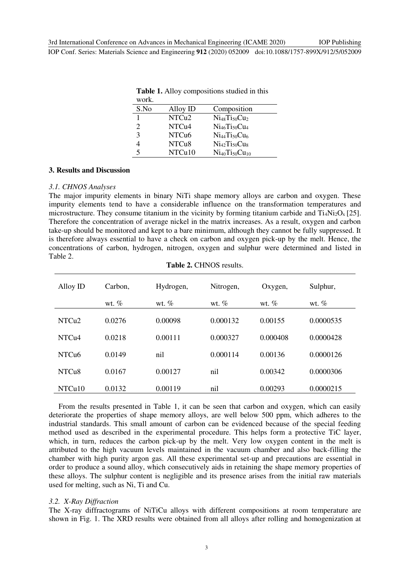| work.         |          |                        |  |
|---------------|----------|------------------------|--|
| S.No          | Alloy ID | Composition            |  |
|               | NTCu2    | $Ni48Ti50Cu2$          |  |
| $\mathcal{D}$ | NTCu4    | $Ni_{46}Ti_{50}Cu_4$   |  |
| 3             | NTCu6    | $Ni44Ti50Cu6$          |  |
|               | NTCu8    | $Ni_{42}Ti_{50}Cu_{8}$ |  |
| 5             | NTCu10   | $Ni40Ti50Cu10$         |  |

**Table 1.** Alloy compositions studied in this

#### **3. Results and Discussion**

#### *3.1. CHNOS Analyses*

The major impurity elements in binary NiTi shape memory alloys are carbon and oxygen. These impurity elements tend to have a considerable influence on the transformation temperatures and microstructure. They consume titanium in the vicinity by forming titanium carbide and  $Ti_4Ni_2O_x$  [25]. Therefore the concentration of average nickel in the matrix increases. As a result, oxygen and carbon take-up should be monitored and kept to a bare minimum, although they cannot be fully suppressed. It is therefore always essential to have a check on carbon and oxygen pick-up by the melt. Hence, the concentrations of carbon, hydrogen, nitrogen, oxygen and sulphur were determined and listed in Table 2.

| Alloy ID           | Carbon, | Hydrogen, | Nitrogen, | Oxygen,  | Sulphur,  |
|--------------------|---------|-----------|-----------|----------|-----------|
|                    | wt. $%$ | wt. $%$   | wt. $%$   | wt. $%$  | wt. $%$   |
| NTCu <sub>2</sub>  | 0.0276  | 0.00098   | 0.000132  | 0.00155  | 0.0000535 |
| NTCu4              | 0.0218  | 0.00111   | 0.000327  | 0.000408 | 0.0000428 |
| NTCu <sub>6</sub>  | 0.0149  | nil       | 0.000114  | 0.00136  | 0.0000126 |
| NTCu <sub>8</sub>  | 0.0167  | 0.00127   | nil       | 0.00342  | 0.0000306 |
| NTCu <sub>10</sub> | 0.0132  | 0.00119   | nil       | 0.00293  | 0.0000215 |

**Table 2.** CHNOS results.

From the results presented in Table 1, it can be seen that carbon and oxygen, which can easily deteriorate the properties of shape memory alloys, are well below 500 ppm, which adheres to the industrial standards. This small amount of carbon can be evidenced because of the special feeding method used as described in the experimental procedure. This helps form a protective TiC layer, which, in turn, reduces the carbon pick-up by the melt. Very low oxygen content in the melt is attributed to the high vacuum levels maintained in the vacuum chamber and also back-filling the chamber with high purity argon gas. All these experimental set-up and precautions are essential in order to produce a sound alloy, which consecutively aids in retaining the shape memory properties of these alloys. The sulphur content is negligible and its presence arises from the initial raw materials used for melting, such as Ni, Ti and Cu.

## *3.2. X-Ray Diffraction*

The X-ray diffractograms of NiTiCu alloys with different compositions at room temperature are shown in Fig. 1. The XRD results were obtained from all alloys after rolling and homogenization at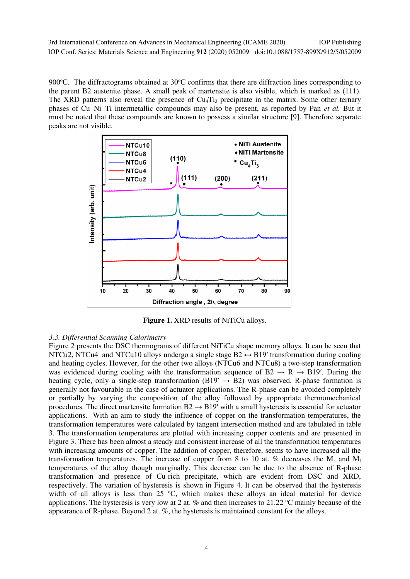900 $^{\circ}$ C. The diffractograms obtained at 30 $^{\circ}$ C confirms that there are diffraction lines corresponding to the parent B2 austenite phase. A small peak of martensite is also visible, which is marked as (111). The XRD patterns also reveal the presence of Cu<sub>4</sub>T<sub>13</sub> precipitate in the matrix. Some other ternary phases of Cu–Ni–Ti intermetallic compounds may also be present, as reported by Pan *et al.* But it must be noted that these compounds are known to possess a similar structure [9]. Therefore separate peaks are not visible.



**Figure 1.** XRD results of NiTiCu alloys.

## *3.3. Differential Scanning Calorimetry*

Figure 2 presents the DSC thermograms of different NiTiCu shape memory alloys. It can be seen that NTCu2, NTCu4 and NTCu10 alloys undergo a single stage  $B2 \leftrightarrow B19'$  transformation during cooling and heating cycles. However, for the other two alloys (NTCu6 and NTCu8) a two-step transformation was evidenced during cooling with the transformation sequence of  $B2 \rightarrow R \rightarrow B19'$ . During the heating cycle, only a single-step transformation  $(B19' \rightarrow B2)$  was observed. R-phase formation is generally not favourable in the case of actuator applications. The R-phase can be avoided completely or partially by varying the composition of the alloy followed by appropriate thermomechanical procedures. The direct martensite formation  $B2 \rightarrow B19'$  with a small hysteresis is essential for actuator applications. With an aim to study the influence of copper on the transformation temperatures, the transformation temperatures were calculated by tangent intersection method and are tabulated in table 3. The transformation temperatures are plotted with increasing copper contents and are presented in Figure 3. There has been almost a steady and consistent increase of all the transformation temperatures with increasing amounts of copper. The addition of copper, therefore, seems to have increased all the transformation temperatures. The increase of copper from 8 to 10 at. % decreases the  $M_s$  and  $M_f$ temperatures of the alloy though marginally. This decrease can be due to the absence of R-phase transformation and presence of Cu-rich precipitate, which are evident from DSC and XRD, respectively. The variation of hysteresis is shown in Figure 4. It can be observed that the hysteresis width of all alloys is less than  $25 \text{ °C}$ , which makes these alloys an ideal material for device applications. The hysteresis is very low at 2 at.  $%$  and then increases to 21.22 °C mainly because of the appearance of R-phase. Beyond 2 at. %, the hysteresis is maintained constant for the alloys.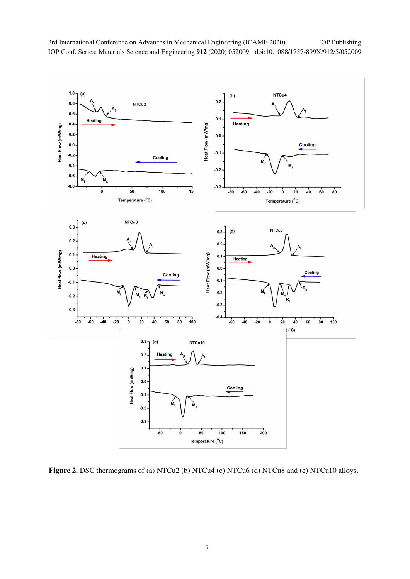

3rd International Conference on Advances in Mechanical Engineering (ICAME 2020) IOP Conf. Series: Materials Science and Engineering **912** (2020) 052009 doi:10.1088/1757-899X/912/5/052009 IOP Publishing

Figure 2. DSC thermograms of (a) NTCu2 (b) NTCu4 (c) NTCu6 (d) NTCu8 and (e) NTCu10 alloys.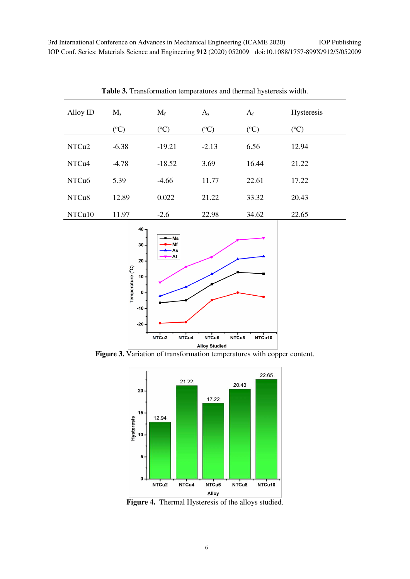| Alloy ID          | $M_{s}$         | $M_f$     | $A_{s}$   | $A_f$     | Hysteresis |
|-------------------|-----------------|-----------|-----------|-----------|------------|
|                   | $({}^{\circ}C)$ | $({}^oC)$ | $({}^oC)$ | $({}^oC)$ | $({}^oC)$  |
| NTCu <sub>2</sub> | $-6.38$         | $-19.21$  | $-2.13$   | 6.56      | 12.94      |
| NTCu4             | $-4.78$         | $-18.52$  | 3.69      | 16.44     | 21.22      |
| NTCu <sub>6</sub> | 5.39            | $-4.66$   | 11.77     | 22.61     | 17.22      |
| NTCu8             | 12.89           | 0.022     | 21.22     | 33.32     | 20.43      |
| NTCu10            | 11.97           | $-2.6$    | 22.98     | 34.62     | 22.65      |

**Table 3.** Transformation temperatures and thermal hysteresis width.



**Figure 3.** Variation of transformation temperatures with copper content.



**Figure 4.** Thermal Hysteresis of the alloys studied.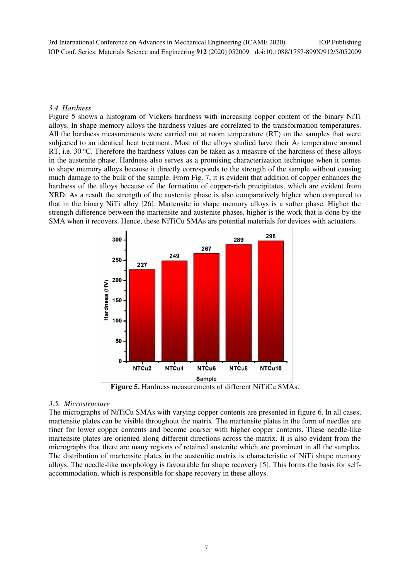## *3.4. Hardness*

Figure 5 shows a histogram of Vickers hardness with increasing copper content of the binary NiTi alloys. In shape memory alloys the hardness values are correlated to the transformation temperatures. All the hardness measurements were carried out at room temperature (RT) on the samples that were subjected to an identical heat treatment. Most of the alloys studied have their  $A_f$  temperature around RT, i.e. 30 °C. Therefore the hardness values can be taken as a measure of the hardness of these alloys in the austenite phase. Hardness also serves as a promising characterization technique when it comes to shape memory alloys because it directly corresponds to the strength of the sample without causing much damage to the bulk of the sample. From Fig. 7, it is evident that addition of copper enhances the hardness of the alloys because of the formation of copper-rich precipitates, which are evident from XRD. As a result the strength of the austenite phase is also comparatively higher when compared to that in the binary NiTi alloy [26]. Martensite in shape memory alloys is a softer phase. Higher the strength difference between the martensite and austenite phases, higher is the work that is done by the SMA when it recovers. Hence, these NiTiCu SMAs are potential materials for devices with actuators.



**Figure 5.** Hardness measurements of different NiTiCu SMAs.

## *3.5. Microstructure*

The micrographs of NiTiCu SMAs with varying copper contents are presented in figure 6. In all cases, martensite plates can be visible throughout the matrix. The martensite plates in the form of needles are finer for lower copper contents and become coarser with higher copper contents. These needle-like martensite plates are oriented along different directions across the matrix. It is also evident from the micrographs that there are many regions of retained austenite which are prominent in all the samples. The distribution of martensite plates in the austenitic matrix is characteristic of NiTi shape memory alloys. The needle-like morphology is favourable for shape recovery [5]. This forms the basis for selfaccommodation, which is responsible for shape recovery in these alloys.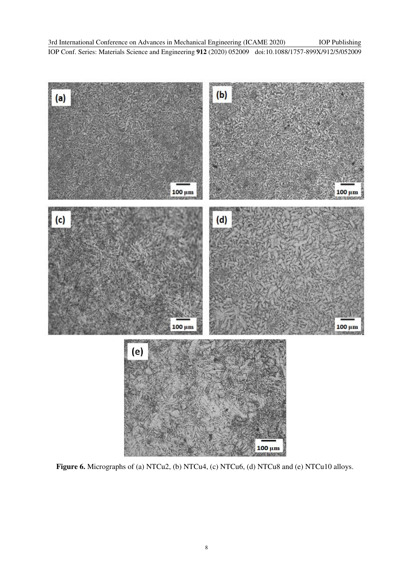

Figure 6. Micrographs of (a) NTCu2, (b) NTCu4, (c) NTCu6, (d) NTCu8 and (e) NTCu10 alloys.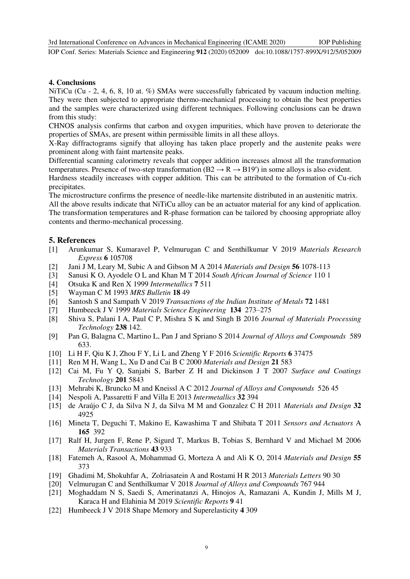# **4. Conclusions**

NiTiCu (Cu - 2, 4, 6, 8, 10 at. %) SMAs were successfully fabricated by vacuum induction melting. They were then subjected to appropriate thermo-mechanical processing to obtain the best properties and the samples were characterized using different techniques. Following conclusions can be drawn from this study:

CHNOS analysis confirms that carbon and oxygen impurities, which have proven to deteriorate the properties of SMAs, are present within permissible limits in all these alloys.

X-Ray diffractograms signify that alloying has taken place properly and the austenite peaks were prominent along with faint martensite peaks.

Differential scanning calorimetry reveals that copper addition increases almost all the transformation temperatures. Presence of two-step transformation ( $B2 \rightarrow R \rightarrow B19'$ ) in some alloys is also evident.

Hardness steadily increases with copper addition. This can be attributed to the formation of Cu-rich precipitates.

The microstructure confirms the presence of needle-like martensite distributed in an austenitic matrix.

All the above results indicate that NiTiCu alloy can be an actuator material for any kind of application. The transformation temperatures and R-phase formation can be tailored by choosing appropriate alloy contents and thermo-mechanical processing.

# **5. References**

- [1] Arunkumar S, Kumaravel P, Velmurugan C and Senthilkumar V 2019 *Materials Research Express* **6** 105708
- [2] Jani J M, Leary M, Subic A and Gibson M A 2014 *Materials and Design* **56** 1078-113
- [3] Sanusi K O, Ayodele O L and Khan M T 2014 *South African Journal of Science* 110 1
- [4] Otsuka K and Ren X 1999 *Intermetallics* **7** 511
- [5] Wayman C M 1993 *MRS Bulletin* **18** 49
- [6] Santosh S and Sampath V 2019 *Transactions of the Indian Institute of Metals* **72** 1481
- [7] Humbeeck J V 1999 *Materials Science Engineering* **134** 273–275
- [8] Shiva S, Palani I A, Paul C P, Mishra S K and Singh B 2016 *Journal of Materials Processing Technology* **238** 142.
- [9] Pan G, Balagna C, Martino L, Pan J and Spriano S 2014 *Journal of Alloys and Compounds* 589 633.
- [10] Li H F, Qiu K J, Zhou F Y, Li L and Zheng Y F 2016 *Scientific Reports* **6** 37475
- [11] Ren M H, Wang L, Xu D and Cai B C 2000 *Materials and Design* **21** 583
- [12] Cai M, Fu Y Q, Sanjabi S, Barber Z H and Dickinson J T 2007 *Surface and Coatings Technology* **201** 5843
- [13] Mehrabi K, Bruncko M and Kneissl A C 2012 *Journal of Alloys and Compounds* 526 45
- [14] Nespoli A, Passaretti F and Villa E 2013 *Intermetallics* **32** 394
- [15] de Araújo C J, da Silva N J, da Silva M M and Gonzalez C H 2011 *Materials and Design* **32** 4925
- [16] Mineta T, Deguchi T, Makino E, Kawashima T and Shibata T 2011 *Sensors and Actuators* A **165** 392
- [17] Ralf H, Jurgen F, Rene P, Sigurd T, Markus B, Tobias S, Bernhard V and Michael M 2006 *Materials Transactions* **43** 933
- [18] Fatemeh A, Rasool A, Mohammad G, Morteza A and Ali K O, 2014 *Materials and Design* **55** 373
- [19] Ghadimi M, Shokuhfar A, Zolriasatein A and Rostami H R 2013 *Materials Letters* 90 30
- [20] Velmurugan C and Senthilkumar V 2018 *Journal of Alloys and Compounds* 767 944
- [21] Moghaddam N S, Saedi S, Amerinatanzi A, Hinojos A, Ramazani A, Kundin J, Mills M J, Karaca H and Elahinia M 2019 *Scientific Reports* **9** 41
- [22] Humbeeck J V 2018 Shape Memory and Superelasticity **4** 309